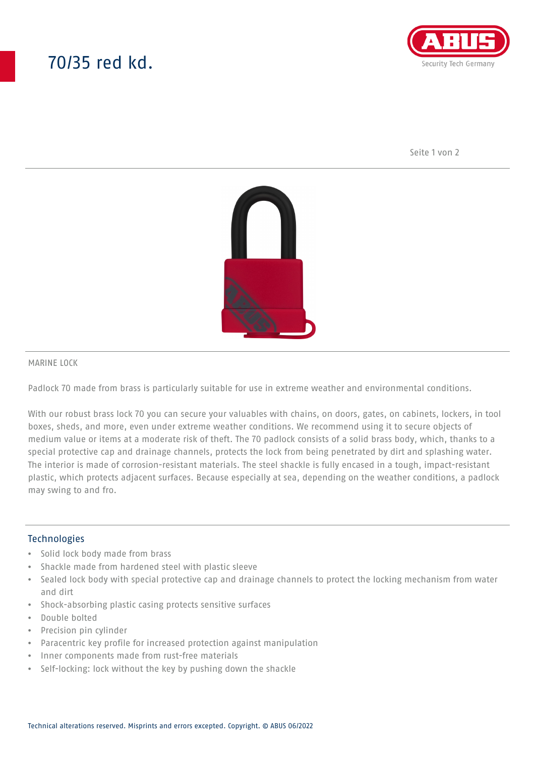# 70/35 red kd.



Seite 1 von 2



### MARINE LOCK

Padlock 70 made from brass is particularly suitable for use in extreme weather and environmental conditions.

With our robust brass lock 70 you can secure your valuables with chains, on doors, gates, on cabinets, lockers, in tool boxes, sheds, and more, even under extreme weather conditions. We recommend using it to secure objects of medium value or items at a moderate risk of theft. The 70 padlock consists of a solid brass body, which, thanks to a special protective cap and drainage channels, protects the lock from being penetrated by dirt and splashing water. The interior is made of corrosion-resistant materials. The steel shackle is fully encased in a tough, impact-resistant plastic, which protects adjacent surfaces. Because especially at sea, depending on the weather conditions, a padlock may swing to and fro.

### **Technologies**

- Solid lock body made from brass
- Shackle made from hardened steel with plastic sleeve
- Sealed lock body with special protective cap and drainage channels to protect the locking mechanism from water and dirt
- Shock-absorbing plastic casing protects sensitive surfaces
- Double bolted
- Precision pin cylinder
- Paracentric key profile for increased protection against manipulation
- Inner components made from rust-free materials
- Self-locking: lock without the key by pushing down the shackle